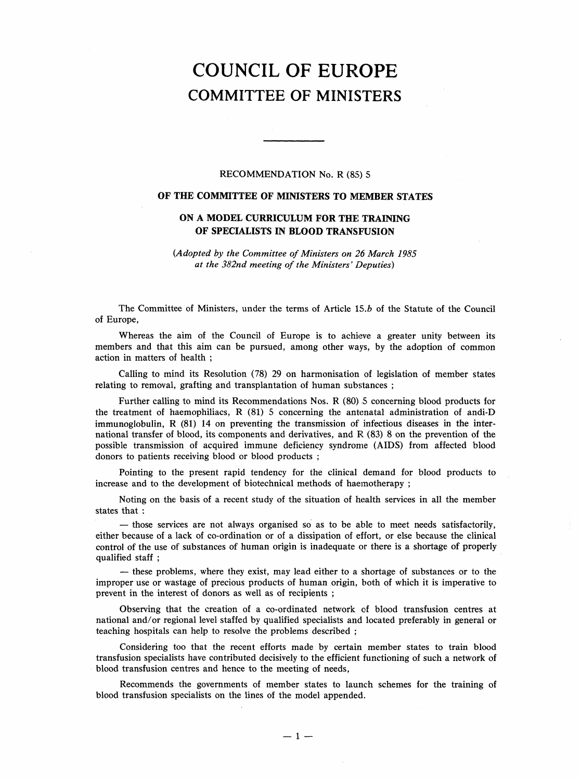# COUNCIL OF EUROPE COMMITTEE OF MINISTERS

#### RECOMMENDATION No. R (85) 5

### OF THE COMMITTEE OF MINISTERS TO MEMBER STATES

## ON A MODEL CURRICULUM FOR THE TRAINING OF SPECIALISTS IN BLOOD TRANSFUSION

(Adopted by the Committee of Ministers on 26 March 1985 at the 382nd meeting of the Ministers' Deputies)

The Committee of Ministers, under the terms of Article 15.b of the Statute of the Council of Europe,

Whereas the aim of the Council of Europe is to achieve a greater unity between its members and that this aim can be pursued, among other ways, by the adoption of common action in matters of health;

Calling to mind its Resolution (78) 29 on harmonisation of legislation of member states relating to removal, grafting and transplantation of human substances;

Further calling to mind its Recommendations Nos. R (80) 5 concerning blood products for the treatment of haemophiliacs, R (81) 5 concerning the antenatal administration of andi-D immunoglobulin, R (81) 14 on preventing the transmission of infectious diseases in the international transfer of blood, its components and derivatives, and R (83) 8 on the prevention of the possible transmission of acquired immune deficiency syndrome (AIDS) from affected blood donors to patients receiving blood or blood products;

Pointing to the present rapid tendency for the clinical demand for blood products to increase and to the development of biotechnical methods of haemotherapy;

Noting on the basis of a recent study of the situation of health services in all the member states that:

— those services are not always organised so as to be able to meet needs satisfactorily, either because of a lack of co-ordination or of a dissipation of effort, or else because the clinical control of the use of substances of human origin is inadequate or there is a shortage of properly qualified staff;

- these problems, where they exist, may lead either to a shortage of substances or to the improper use or wastage of precious products of human origin, both of which it is imperative to prevent in the interest of donors as well as of recipients;

Observing that the creation of a co-ordinated network of blood transfusion centres at national and/or regional level staffed by qualified specialists and located preferably in general or teaching hospitals can help to resolve the problems described;

Considering too that the recent efforts made by certain member states to train blood transfusion specialists have contributed decisively to the efficient functioning of such a network of blood transfusion centres and hence to the meeting of needs,

Recommends the governments of member states to launch schemes for the training of blood transfusion specialists on the lines of the model appended.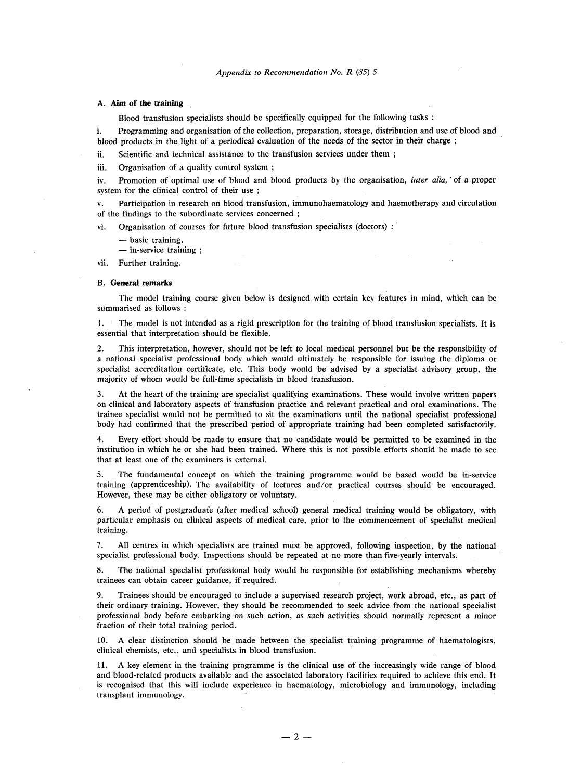#### A. Aim of the training

Blood transfusion specialists should be specifically equipped for the following tasks:

i. Programming and organisation of the collection, preparation, storage, distribution and use of blood and blood products in the light of a periodical evaluation of the needs of the sector in their charge;

ii. Scientific and technical assistance to the transfusion services under them;

iii. Organisation of a quality control system;

iv. Promotion of optimal use of blood and blood products by the organisation, inter alia,' of a proper system for the clinical control of their use;

v. Participation in research on blood transfusion, immunohaematology and haemotherapy and circulation of the findings to the subordinate services concerned;

vi. Organisation of courses for future blood transfusion specialists (doctors):

- basic training,

- in-service training;

vii. Further training.

#### B. General remarks

The model training course given below is designed with certain key features in mind, which can be summarised as follows:

1. The model is not intended as a rigid prescription for the training of blood transfusion specialists. It is essential that interpretation should be flexible.

2. This interpretation, however, should not be left to local medical personnel but be the responsibility of a national specialist professional body which would ultimately be responsible for issuing the diploma or specialist accreditation certificate, etc. This body would be advised by a specialist advisory group, the majority of whom would be full-time specialists in blood transfusion.

3. At the heart of the training are specialist qualifying examinations. These would involve written papers on clinical and laboratory aspects of transfusion practice and relevant practical and oral examinations. The trainee specialist would not be permitted to sit the examinations until the national specialist professional body had confirmed that the prescribed period of appropriate training had been completed satisfactorily.

4. Every effort should be made to ensure that no candidate would be permitted to be examined in the institution in which he or she had been trained. Where this is not possible efforts should be made to see that at least one of the examiners is external.

5. The fundamental concept on which the training programme would be based would be in-service training (apprenticeship). The availability of lectures and/or practical courses should be encouraged. However, these may be either obligatory or voluntary.

6. A period of postgraduate (after medical school) general medical training would be obligatory, with particular emphasis on clinical aspects of medical care, prior to the commencement of specialist medical training.

7. All centres in which specialists are trained must be approved, following inspection, by the national specialist professional body. Inspections should be repeated at no more than five-yearly intervals.

8. The national specialist professional body would be responsible for establishing mechanisms whereby trainees can obtain career guidance, if required.

9. Trainees should be encouraged to include a supervised research project, work abroad, etc., as part of their ordinary training. However, they should be recommended to seek advice from the national specialist professional body before embarking on such action, as such activities should normally represent a minor fraction of their total training period.

A clear distinction should be made between the specialist training programme of haematologists. clinical chemists, etc., and specialists in blood transfusion.

11. A key element in the training programme is the clinical use of the increasingly wide range of blood and blood-related products available and the associated laboratory facilities required to achieve this end. It is recognised that this will include experience in haematology, microbiology and immunology, including transplant immunology.

 $- 2 -$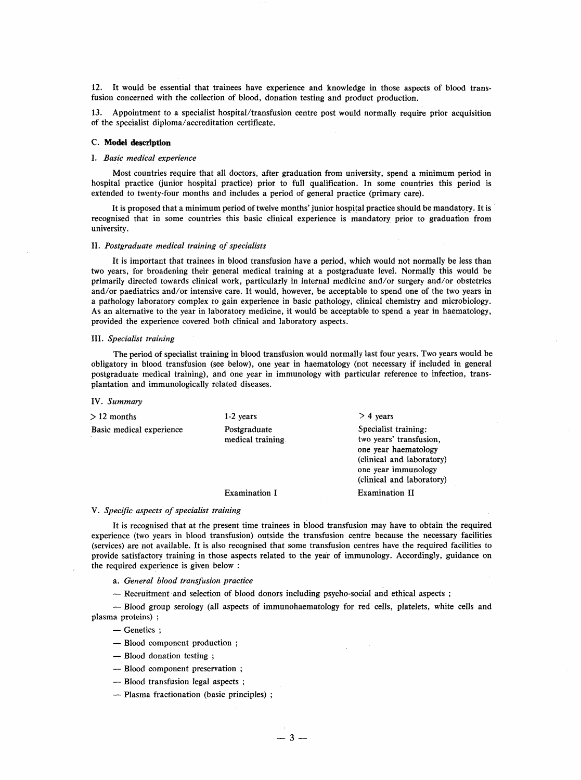12. It would be essential that trainees have experience and knowledge in those aspects of blood transfusion concerned with the collection of blood, donation testing and product production.

13. Appointment to a specialist hospital/transfusion centre post would normally require prior acquisition of the specialist diploma/accreditation certificate.

#### C. Model description

#### I. Basic medical experience

Most countries require that all doctors, after graduation from university, spend a minimum period in hospital practice (junior hospital practice) prior to full qualification. In some countries this period is extended to twenty-four months and includes a period of general practice (primary care).

It is proposed that a minimum period of twelve months' junior hospital practice should be mandatory. It is recognised that in some countries this basic clinical experience is mandatory prior to graduation from university.

#### II. Postgraduate medical training of specialists

It is important that trainees in blood transfusion have a period, which would not normally be less than two years, for broadening their general medical training at a postgraduate level. Normally this would be primarily directed towards clinical work, particularly in internal medicine and/or surgery and/or obstetrics and/or paediatrics and/or intensive care. It would, however, be acceptable to spend one of the two years in a pathology laboratory complex to gain experience in basic pathology, clinical chemistry and microbiology. As an alternative to the year in laboratory medicine, it would be acceptable to spend a year in haematology, provided the experience covered both clinical and laboratory aspects.

#### III. Specialist training

The period of specialist training in blood transfusion would normally last four years. Two years would be obligatory in blood transfusion (see below), one year in haematology (not necessary if included in general postgraduate medical training), and one year in immunology with particular reference to infection, transplantation and immunologically related diseases.

#### IV. Summary

| $>12$ months             | $1-2$ years                       | $>$ 4 years                                                                                                                                              |
|--------------------------|-----------------------------------|----------------------------------------------------------------------------------------------------------------------------------------------------------|
| Basic medical experience | Postgraduate<br>medical training. | Specialist training:<br>two years' transfusion,<br>one year haematology<br>(clinical and laboratory)<br>one year immunology<br>(clinical and laboratory) |
|                          | Examination I                     | Examination II                                                                                                                                           |

#### V. Specific aspects of specialist training

It is recognised that at the present time trainees in blood transfusion may have to obtain the required experience (two years in blood transfusion) outside the transfusion centre because the necessary facilities (services) are not available. It is also recognised that some transfusion centres have the required facilities to provide satisfactory training in those aspects related to the year of immunology. Accordingly, guidance on the required experience is given below :

- a. General blood transfusion practice
- Recruitment and selection of blood donors including psycho-social and ethical aspects;

- Blood group serology (all aspects of immunohaematology for red cells, platelets, white cells and plasma proteins);

- Genetics ;

- Blood component production;
- Blood donation testing;
- Blood component preservation;
- Blood transfusion legal aspects;
- Plasma fractionation (basic principles);